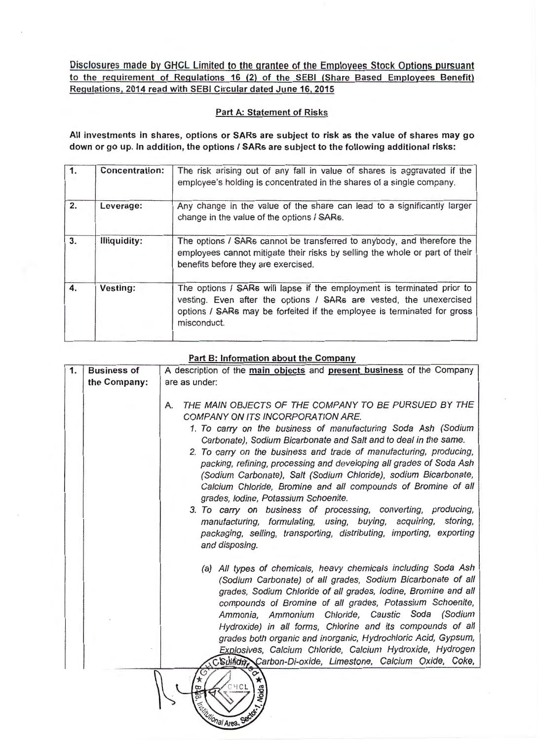Disclosures made by GHCL Limited to the grantee of the Employees Stock Options pursuant to the requirement of Regulations 16 (2) of the SEBI (Share Based Employees Benefit) Regulations, 2014 read with SEBI Circular dated June 16, 2015

## Part A: Statement of Risks

All investments in shares, options or SARs are subject to risk as the value of shares may go down or go up. In addition, the options I SARs are subject to the following additional risks:

| $\overline{1}$ . | <b>Concentration:</b> | The risk arising out of any fall in value of shares is aggravated if the<br>employee's holding is concentrated in the shares of a single company.                                                                                      |
|------------------|-----------------------|----------------------------------------------------------------------------------------------------------------------------------------------------------------------------------------------------------------------------------------|
| 2.               | Leverage:             | Any change in the value of the share can lead to a significantly larger<br>change in the value of the options / SARs.                                                                                                                  |
| 3.               | Illiquidity:          | The options / SARs cannot be transferred to anybody, and therefore the<br>employees cannot mitigate their risks by selling the whole or part of their<br>benefits before they are exercised.                                           |
| 4.               | Vesting:              | The options / SARs will lapse if the employment is terminated prior to<br>vesting. Even after the options / SARs are vested, the unexercised<br>options / SARs may be forfeited if the employee is terminated for gross<br>misconduct. |

## Part B: Information about the Company

| 1. | <b>Business of</b> | A description of the main objects and present business of the Company                                                                                                                                                                                                                                                                                                                                                                                                                                                                                                                                                                                                                                                                                                                      |
|----|--------------------|--------------------------------------------------------------------------------------------------------------------------------------------------------------------------------------------------------------------------------------------------------------------------------------------------------------------------------------------------------------------------------------------------------------------------------------------------------------------------------------------------------------------------------------------------------------------------------------------------------------------------------------------------------------------------------------------------------------------------------------------------------------------------------------------|
|    | the Company:       | are as under:                                                                                                                                                                                                                                                                                                                                                                                                                                                                                                                                                                                                                                                                                                                                                                              |
|    |                    | THE MAIN OBJECTS OF THE COMPANY TO BE PURSUED BY THE<br>Α.<br>COMPANY ON ITS INCORPORATION ARE.<br>1. To carry on the business of manufacturing Soda Ash (Sodium<br>Carbonate), Sodium Bicarbonate and Salt and to deal in the same.<br>2. To carry on the business and trade of manufacturing, producing,<br>packing, refining, processing and developing all grades of Soda Ash<br>(Sodium Carbonate), Salt (Sodium Chloride), sodium Bicarbonate,<br>Calcium Chloride, Bromine and all compounds of Bromine of all<br>grades, Iodine, Potassium Schoenite.<br>3. To carry on business of processing, converting, producing,<br>manufacturing, formulating, using, buying, acquiring, storing,<br>packaging, selling, transporting, distributing, importing, exporting<br>and disposing. |
|    |                    | (a) All types of chemicals, heavy chemicals including Soda Ash<br>(Sodium Carbonate) of all grades, Sodium Bicarbonate of all<br>grades, Sodium Chloride of all grades, lodine, Bromine and all<br>compounds of Bromine of all grades, Potassium Schoenite,<br>Ammonia, Ammonium Chloride, Caustic Soda (Sodium<br>Hydroxide) in all forms, Chlorine and its compounds of all<br>grades both organic and inorganic, Hydrochloric Acid, Gypsum,<br>Explosives, Calcium Chloride, Calcium Hydroxide, Hydrogen<br>CSulfide, Carbon-Di-oxide, Limestone, Calcium Oxide, Coke,<br>$\rm \sim$<br><b>Noida</b>                                                                                                                                                                                    |

onal Area. Se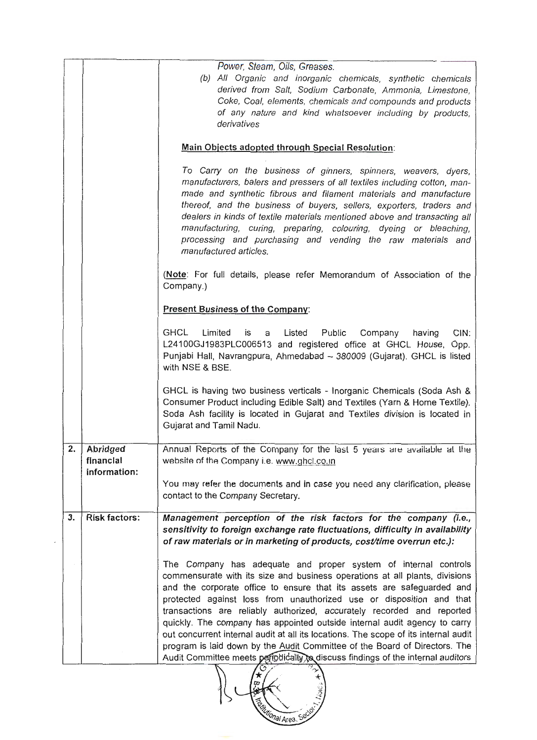|    |                                         | Power, Steam, Oils, Greases.<br>(b) All Organic and inorganic chemicals, synthetic chemicals<br>derived from Salt, Sodium Carbonate, Ammonia, Limestone,<br>Coke, Coal, elements, chemicals and compounds and products<br>of any nature and kind whatsoever including by products,<br>derivatives                                                                                                                                                                                                                                                                                                                                                                                                                       |  |
|----|-----------------------------------------|-------------------------------------------------------------------------------------------------------------------------------------------------------------------------------------------------------------------------------------------------------------------------------------------------------------------------------------------------------------------------------------------------------------------------------------------------------------------------------------------------------------------------------------------------------------------------------------------------------------------------------------------------------------------------------------------------------------------------|--|
|    |                                         | Main Objects adopted through Special Resolution:                                                                                                                                                                                                                                                                                                                                                                                                                                                                                                                                                                                                                                                                        |  |
|    |                                         | To Carry on the business of ginners, spinners, weavers, dyers,<br>manufacturers, balers and pressers of all textiles including cotton, man-<br>made and synthetic fibrous and filament materials and manufacture<br>thereof, and the business of buyers, sellers, exporters, traders and<br>dealers in kinds of textile materials mentioned above and transacting all<br>manufacturing, curing, preparing, colouring, dyeing or bleaching,<br>processing and purchasing and vending the raw materials and<br>manufactured articles.                                                                                                                                                                                     |  |
|    |                                         | (Note: For full details, please refer Memorandum of Association of the<br>Company.)                                                                                                                                                                                                                                                                                                                                                                                                                                                                                                                                                                                                                                     |  |
|    | <b>Present Business of the Company:</b> |                                                                                                                                                                                                                                                                                                                                                                                                                                                                                                                                                                                                                                                                                                                         |  |
|    |                                         | <b>GHCL</b><br>Limited<br>CIN:<br>Listed<br>Public<br>is<br>a<br>Company<br>having<br>L24100GJ1983PLC006513 and registered office at GHCL House, Opp.<br>Punjabi Hall, Navrangpura, Ahmedabad - 380009 (Gujarat). GHCL is listed<br>with NSE & BSE.                                                                                                                                                                                                                                                                                                                                                                                                                                                                     |  |
|    |                                         | GHCL is having two business verticals - Inorganic Chemicals (Soda Ash &<br>Consumer Product including Edible Salt) and Textiles (Yarn & Home Textile).<br>Soda Ash facility is located in Gujarat and Textiles division is located in<br>Gujarat and Tamil Nadu.                                                                                                                                                                                                                                                                                                                                                                                                                                                        |  |
| 2. | Abridged<br>financial<br>information:   | Annual Reports of the Company for the last 5 years are available at the<br>website of the Company i.e. www.ghcl.co.in                                                                                                                                                                                                                                                                                                                                                                                                                                                                                                                                                                                                   |  |
|    |                                         | You may refer the documents and in case you need any clarification, please<br>contact to the Company Secretary.                                                                                                                                                                                                                                                                                                                                                                                                                                                                                                                                                                                                         |  |
| 3. | <b>Risk factors:</b>                    | Management perception of the risk factors for the company (i.e.,<br>sensitivity to foreign exchange rate fluctuations, difficulty in availability<br>of raw materials or in marketing of products, cost/time overrun etc.):                                                                                                                                                                                                                                                                                                                                                                                                                                                                                             |  |
|    |                                         | The Company has adequate and proper system of internal controls<br>commensurate with its size and business operations at all plants, divisions<br>and the corporate office to ensure that its assets are safeguarded and<br>protected against loss from unauthorized use or disposition and that<br>transactions are reliably authorized, accurately recorded and reported<br>quickly. The company has appointed outside internal audit agency to carry<br>out concurrent internal audit at all its locations. The scope of its internal audit<br>program is laid down by the Audit Committee of the Board of Directors. The<br>Audit Committee meets periodically to discuss findings of the internal auditors<br>70 A |  |

ALLEY CONTROLLER

 $\epsilon$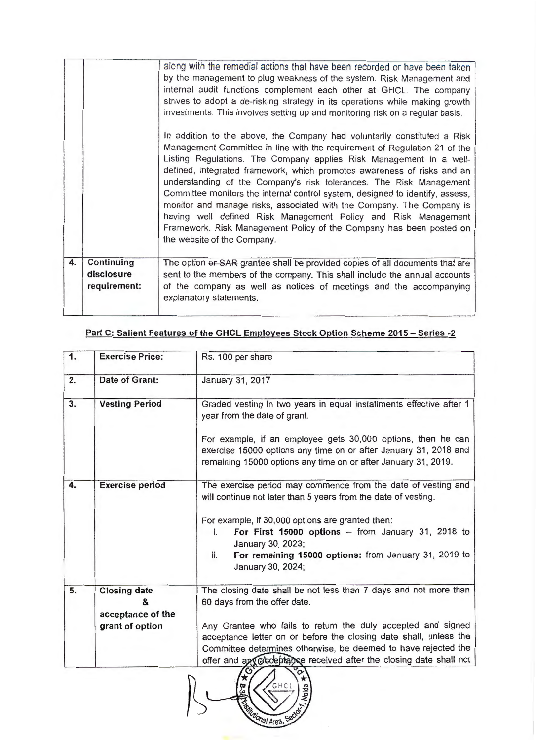| 4. | Continuing                 | investments. This involves setting up and monitoring risk on a regular basis.<br>In addition to the above, the Company had voluntarily constituted a Risk<br>Management Committee in line with the requirement of Regulation 21 of the<br>Listing Regulations. The Company applies Risk Management in a well-<br>defined, integrated framework, which promotes awareness of risks and an<br>understanding of the Company's risk tolerances. The Risk Management<br>Committee monitors the internal control system, designed to identify, assess,<br>monitor and manage risks, associated with the Company. The Company is<br>having well defined Risk Management Policy and Risk Management<br>Framework. Risk Management Policy of the Company has been posted on<br>the website of the Company.<br>The option or SAR grantee shall be provided copies of all documents that are |
|----|----------------------------|-----------------------------------------------------------------------------------------------------------------------------------------------------------------------------------------------------------------------------------------------------------------------------------------------------------------------------------------------------------------------------------------------------------------------------------------------------------------------------------------------------------------------------------------------------------------------------------------------------------------------------------------------------------------------------------------------------------------------------------------------------------------------------------------------------------------------------------------------------------------------------------|
|    | disclosure<br>requirement: | sent to the members of the company. This shall include the annual accounts<br>of the company as well as notices of meetings and the accompanying<br>explanatory statements.                                                                                                                                                                                                                                                                                                                                                                                                                                                                                                                                                                                                                                                                                                       |

| 1. | <b>Exercise Price:</b>                        | Rs. 100 per share                                                                                                                                                                                  |
|----|-----------------------------------------------|----------------------------------------------------------------------------------------------------------------------------------------------------------------------------------------------------|
| 2. | Date of Grant:                                | January 31, 2017                                                                                                                                                                                   |
| 3. | <b>Vesting Period</b>                         | Graded vesting in two years in equal installments effective after 1<br>year from the date of grant.                                                                                                |
|    |                                               | For example, if an employee gets 30,000 options, then he can<br>exercise 15000 options any time on or after January 31, 2018 and<br>remaining 15000 options any time on or after January 31, 2019. |
| 4. | <b>Exercise period</b>                        | The exercise period may commence from the date of vesting and<br>will continue not later than 5 years from the date of vesting.                                                                    |
|    |                                               | For example, if 30,000 options are granted then:<br>For First $15000$ options - from January 31, 2018 to<br>i.<br>January 30, 2023;                                                                |
|    |                                               | For remaining 15000 options: from January 31, 2019 to<br>ii.<br>January 30, 2024;                                                                                                                  |
| 5. | <b>Closing date</b><br>&<br>acceptance of the | The closing date shall be not less than 7 days and not more than<br>60 days from the offer date.                                                                                                   |
|    | grant of option                               | Any Grantee who fails to return the duly accepted and signed                                                                                                                                       |
|    |                                               | acceptance letter on or before the closing date shall, unless the                                                                                                                                  |
|    |                                               | Committee determines otherwise, be deemed to have rejected the                                                                                                                                     |
|    |                                               | offer and apy acceptance received after the closing date shall not                                                                                                                                 |

## **Part C: Salient Features of the GHCL Employees Stock Option Scheme 2015 - Series -2**